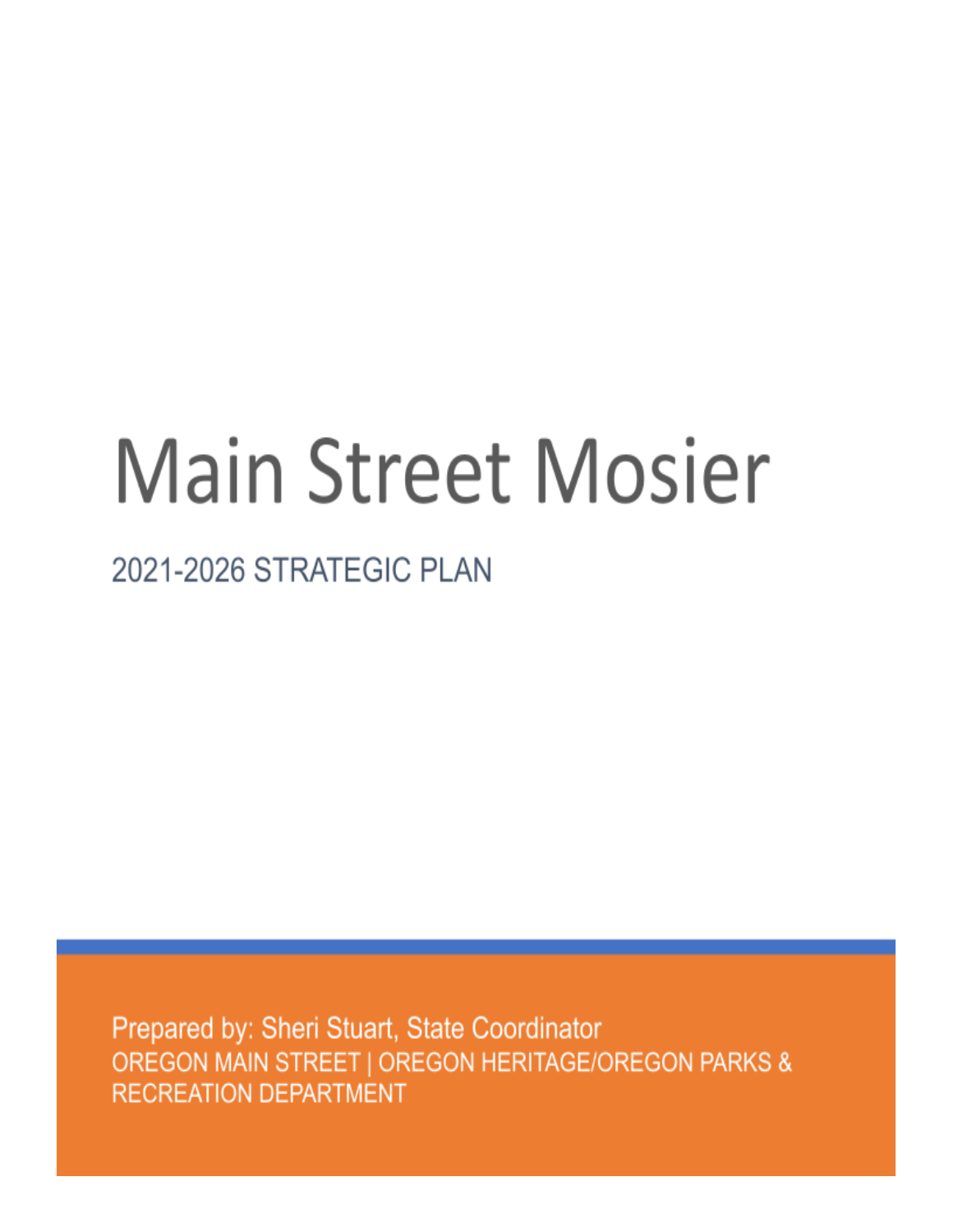# **Main Street Mosier**

## 2021-2026 STRATEGIC PLAN

Prepared by: Sheri Stuart, State Coordinator OREGON MAIN STREET | OREGON HERITAGE/OREGON PARKS & **RECREATION DEPARTMENT**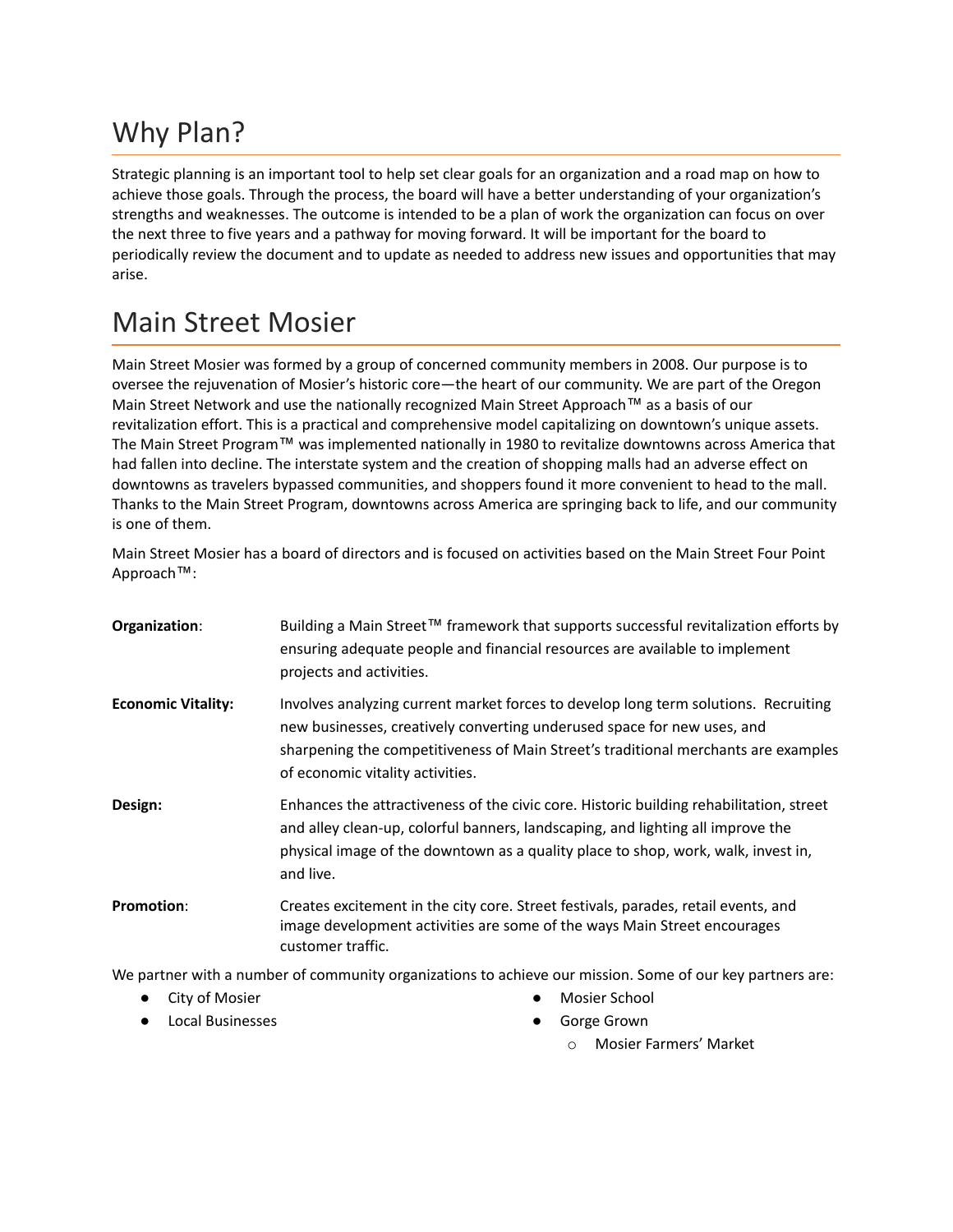## Why Plan?

Strategic planning is an important tool to help set clear goals for an organization and a road map on how to achieve those goals. Through the process, the board will have a better understanding of your organization's strengths and weaknesses. The outcome is intended to be a plan of work the organization can focus on over the next three to five years and a pathway for moving forward. It will be important for the board to periodically review the document and to update as needed to address new issues and opportunities that may arise.

### Main Street Mosier

Main Street Mosier was formed by a group of concerned community members in 2008. Our purpose is to oversee the rejuvenation of Mosier's historic core—the heart of our community. We are part of the Oregon Main Street Network and use the nationally recognized Main Street Approach™ as a basis of our revitalization effort. This is a practical and comprehensive model capitalizing on downtown's unique assets. The Main Street Program™ was implemented nationally in 1980 to revitalize downtowns across America that had fallen into decline. The interstate system and the creation of shopping malls had an adverse effect on downtowns as travelers bypassed communities, and shoppers found it more convenient to head to the mall. Thanks to the Main Street Program, downtowns across America are springing back to life, and our community is one of them.

Main Street Mosier has a board of directors and is focused on activities based on the Main Street Four Point Approach™:

| Organization:             | Building a Main Street™ framework that supports successful revitalization efforts by<br>ensuring adequate people and financial resources are available to implement<br>projects and activities.                                                                                          |
|---------------------------|------------------------------------------------------------------------------------------------------------------------------------------------------------------------------------------------------------------------------------------------------------------------------------------|
| <b>Economic Vitality:</b> | Involves analyzing current market forces to develop long term solutions. Recruiting<br>new businesses, creatively converting underused space for new uses, and<br>sharpening the competitiveness of Main Street's traditional merchants are examples<br>of economic vitality activities. |
| Design:                   | Enhances the attractiveness of the civic core. Historic building rehabilitation, street<br>and alley clean-up, colorful banners, landscaping, and lighting all improve the<br>physical image of the downtown as a quality place to shop, work, walk, invest in,<br>and live.             |
| <b>Promotion:</b>         | Creates excitement in the city core. Street festivals, parades, retail events, and<br>image development activities are some of the ways Main Street encourages<br>customer traffic.                                                                                                      |

We partner with a number of community organizations to achieve our mission. Some of our key partners are:

- City of Mosier
- Local Businesses
- Mosier School
- **Gorge Grown** 
	- o Mosier Farmers' Market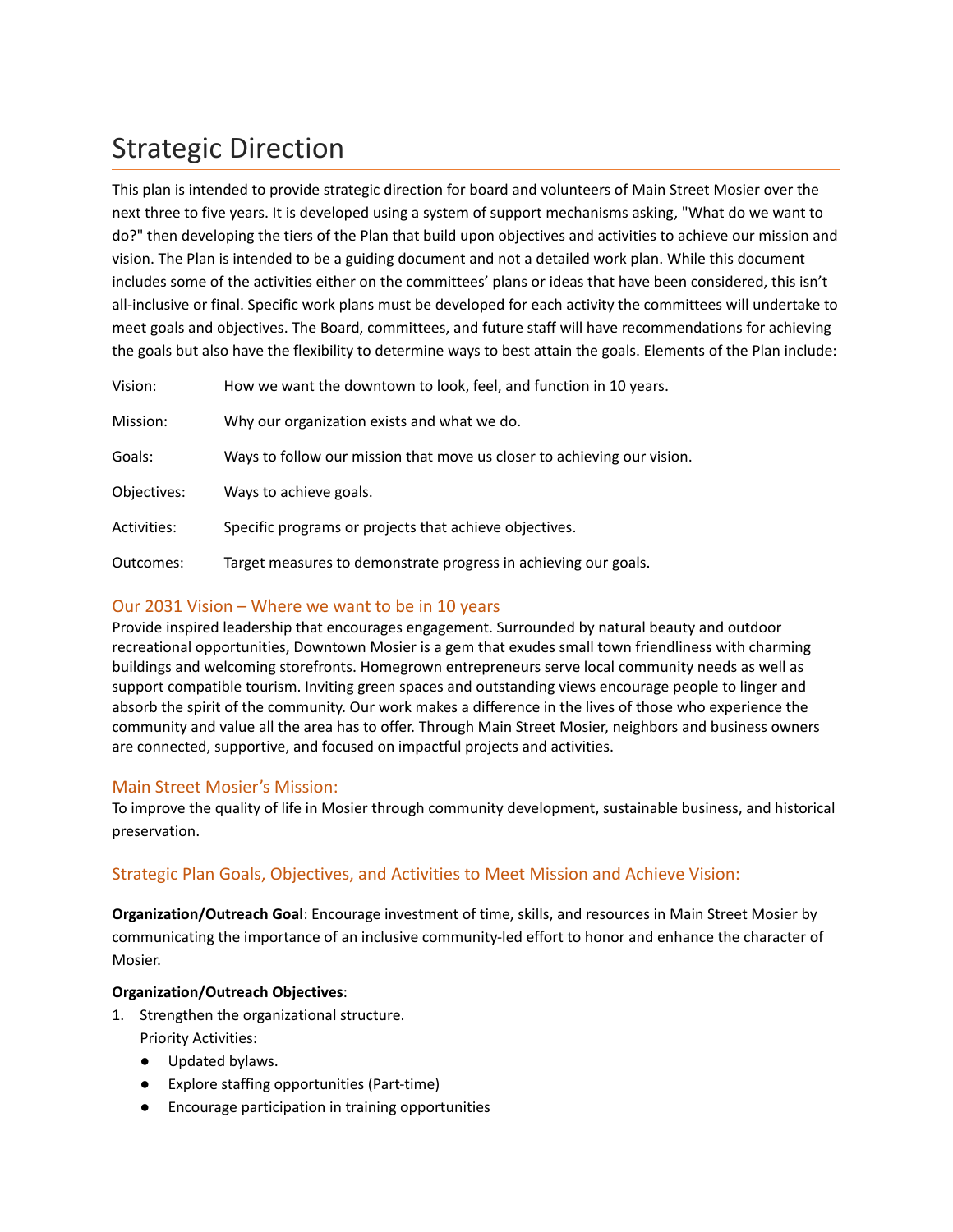## Strategic Direction

This plan is intended to provide strategic direction for board and volunteers of Main Street Mosier over the next three to five years. It is developed using a system of support mechanisms asking, "What do we want to do?" then developing the tiers of the Plan that build upon objectives and activities to achieve our mission and vision. The Plan is intended to be a guiding document and not a detailed work plan. While this document includes some of the activities either on the committees' plans or ideas that have been considered, this isn't all-inclusive or final. Specific work plans must be developed for each activity the committees will undertake to meet goals and objectives. The Board, committees, and future staff will have recommendations for achieving the goals but also have the flexibility to determine ways to best attain the goals. Elements of the Plan include:

| Vision:     | How we want the downtown to look, feel, and function in 10 years.       |
|-------------|-------------------------------------------------------------------------|
| Mission:    | Why our organization exists and what we do.                             |
| Goals:      | Ways to follow our mission that move us closer to achieving our vision. |
| Objectives: | Ways to achieve goals.                                                  |
| Activities: | Specific programs or projects that achieve objectives.                  |
| Outcomes:   | Target measures to demonstrate progress in achieving our goals.         |

#### Our 2031 Vision – Where we want to be in 10 years

Provide inspired leadership that encourages engagement. Surrounded by natural beauty and outdoor recreational opportunities, Downtown Mosier is a gem that exudes small town friendliness with charming buildings and welcoming storefronts. Homegrown entrepreneurs serve local community needs as well as support compatible tourism. Inviting green spaces and outstanding views encourage people to linger and absorb the spirit of the community. Our work makes a difference in the lives of those who experience the community and value all the area has to offer. Through Main Street Mosier, neighbors and business owners are connected, supportive, and focused on impactful projects and activities.

#### Main Street Mosier's Mission:

To improve the quality of life in Mosier through community development, sustainable business, and historical preservation.

#### Strategic Plan Goals, Objectives, and Activities to Meet Mission and Achieve Vision:

**Organization/Outreach Goal**: Encourage investment of time, skills, and resources in Main Street Mosier by communicating the importance of an inclusive community-led effort to honor and enhance the character of Mosier.

#### **Organization/Outreach Objectives**:

- 1. Strengthen the organizational structure. Priority Activities:
	- Updated bylaws.
	- Explore staffing opportunities (Part-time)
	- Encourage participation in training opportunities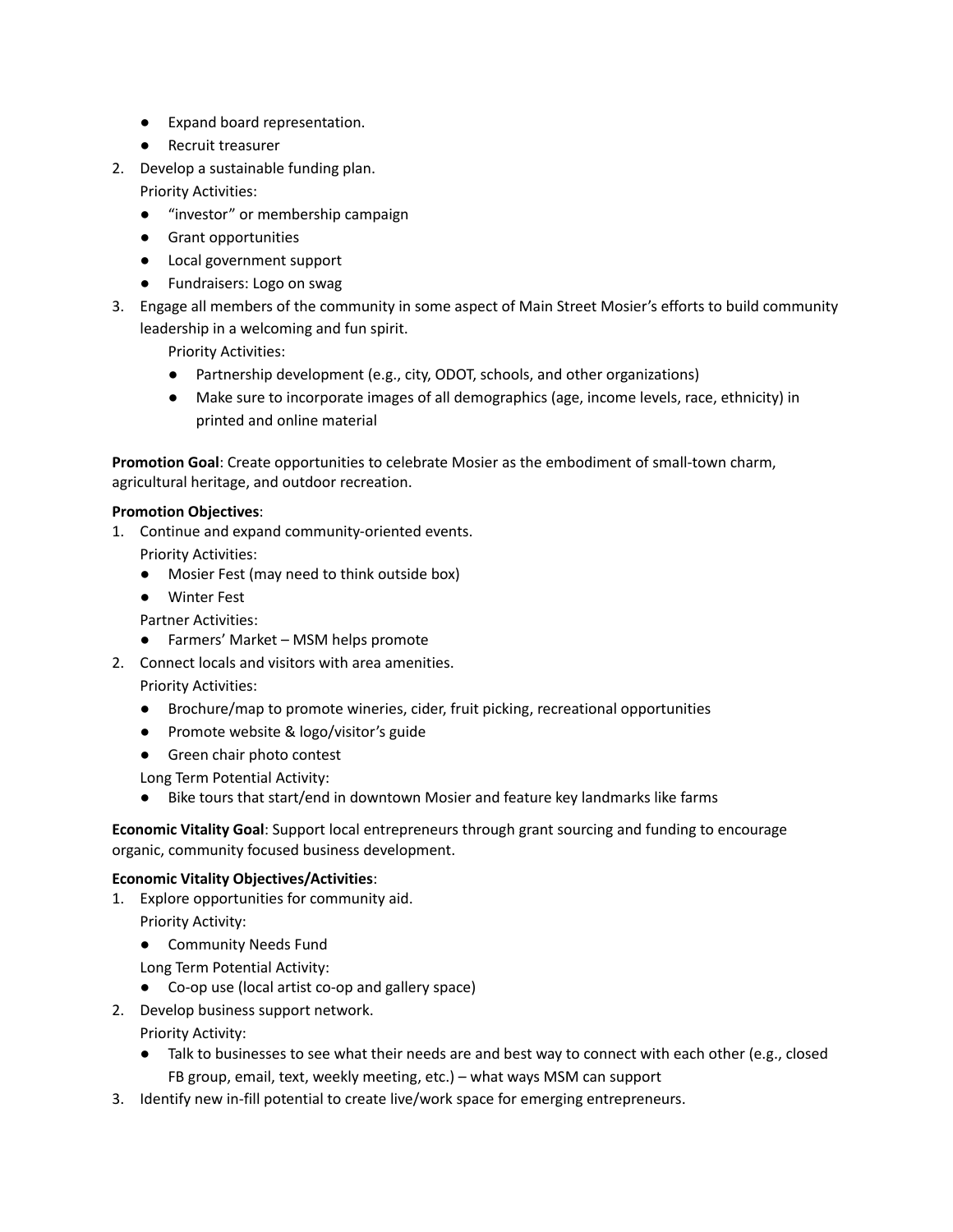- Expand board representation.
- Recruit treasurer
- 2. Develop a sustainable funding plan.

Priority Activities:

- "investor" or membership campaign
- Grant opportunities
- Local government support
- Fundraisers: Logo on swag
- 3. Engage all members of the community in some aspect of Main Street Mosier's efforts to build community leadership in a welcoming and fun spirit.

Priority Activities:

- Partnership development (e.g., city, ODOT, schools, and other organizations)
- Make sure to incorporate images of all demographics (age, income levels, race, ethnicity) in printed and online material

**Promotion Goal**: Create opportunities to celebrate Mosier as the embodiment of small-town charm, agricultural heritage, and outdoor recreation.

#### **Promotion Objectives**:

- 1. Continue and expand community-oriented events. Priority Activities:
	- Mosier Fest (may need to think outside box)
	- Winter Fest

Partner Activities:

- Farmers' Market MSM helps promote
- 2. Connect locals and visitors with area amenities.
	- Priority Activities:
		- Brochure/map to promote wineries, cider, fruit picking, recreational opportunities
		- Promote website & logo/visitor's guide
		- Green chair photo contest

Long Term Potential Activity:

● Bike tours that start/end in downtown Mosier and feature key landmarks like farms

**Economic Vitality Goal**: Support local entrepreneurs through grant sourcing and funding to encourage organic, community focused business development.

#### **Economic Vitality Objectives/Activities**:

- 1. Explore opportunities for community aid.
	- Priority Activity:
	- Community Needs Fund
	- Long Term Potential Activity:
	- Co-op use (local artist co-op and gallery space)
- 2. Develop business support network.

Priority Activity:

- Talk to businesses to see what their needs are and best way to connect with each other (e.g., closed FB group, email, text, weekly meeting, etc.) – what ways MSM can support
- 3. Identify new in-fill potential to create live/work space for emerging entrepreneurs.